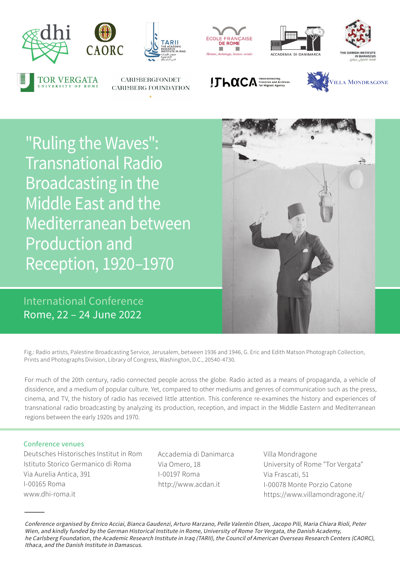

**TOR VERGATA** 



**CARISBERGFONDET** 

**CARISBERG FOUNDATION** 







 $!$   $\Gamma$   $\sim$   $\alpha$   $\Gamma$   $\sim$   $\Lambda$  Histories and Archives



"Ruling the Waves": Transnational Radio Broadcasting in the Middle East and the Mediterranean between Production and Reception, 1920–1970 Web: ası (

International Conference Rome, 22 – 24 June 2022



Fig.: Radio artists, Palestine Broadcasting Service, Jerusalem, between 1936 and 1946, G. Eric and Edith Matson Photograph Collection, Prints and Photographs Division, Library of Congress, Washington, D.C., 20540-4730.

For much of the 20th century, radio connected people across the globe. Radio acted as a means of propaganda, a vehicle of dissidence, and a medium of popular culture. Yet, compared to other mediums and genres of communication such as the press, cinema, and TV, the history of radio has received little attention. This conference re-examines the history and experiences of transnational radio broadcasting by analyzing its production, reception, and impact in the Middle Eastern and Mediterranean regions between the early 1920s and 1970.

## Conference venues

Deutsches Historisches Institut in Rom Istituto Storico Germanico di Roma Via Aurelia Antica, 391 I-00165 Roma www.dhi-roma.it

Accademia di Danimarca Via Omero, 18 I-00197 Roma http://www.acdan.it

Villa Mondragone University of Rome "Tor Vergata" Via Frascati, 51 I-00078 Monte Porzio Catone https://www.villamondragone.it/

Conference organised by Enrico Acciai, Bianca Gaudenzi, Arturo Marzano, Pelle Valentin Olsen, Jacopo Pili, Maria Chiara Rioli, Peter Wien, and kindly funded by the German Historical Institute in Rome, University of Rome Tor Vergata, the Danish Academy, he Carlsberg Foundation, the Academic Research Institute in Iraq (TARII), the Council of American Overseas Research Centers (CAORC), Ithaca, and the Danish Institute in Damascus.